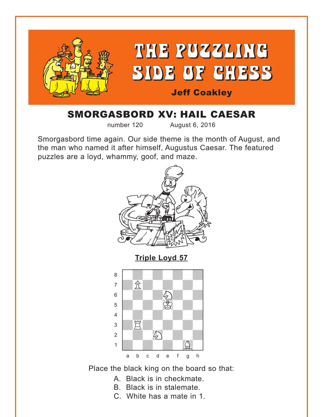<span id="page-0-0"></span>

# SMORGASBORD XV: HAIL CAESAR

number 120 August 6, 2016

Smorgasbord time again. Our side theme is the month of August, and the man who named it after himself, Augustus Caesar. The featured puzzles are a loyd, whammy, goof, and maze.



Place the black king on the board so that:

- A. Black is in checkmate.
- B. Black is in stalemate.
- C. White has a mate in 1.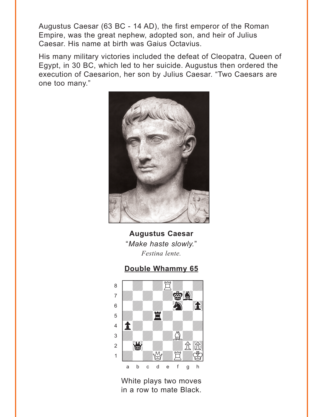<span id="page-1-0"></span>Augustus Caesar (63 BC - 14 AD), the first emperor of the Roman Empire, was the great nephew, adopted son, and heir of Julius Caesar. His name at birth was Gaius Octavius.

His many military victories included the defeat of Cleopatra, Queen of Egypt, in 30 BC, which led to her suicide. Augustus then ordered the execution of Caesarion, her son by Julius Caesar. "Two Caesars are one too many."



**Augustus Caesar** "Make haste slowly." Festina lente.

#### Double Whammy 65



White plays two moves in a row to mate Black.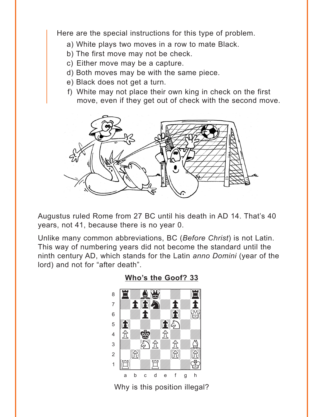<span id="page-2-0"></span>Here are the special instructions for this type of problem.

- a) White plays two moves in a row to mate Black.
- b) The first move may not be check.
- c) Either move may be a capture.
- d) Both moves may be with the same piece.
- e) Black does not get a turn.
- f) White may not place their own king in check on the first move, even if they get out of check with the second move.



Augustus ruled Rome from 27 BC until his death in AD 14. That's 40 years, not 41, because there is no year 0.

Unlike many common abbreviations, BC (Before Christ) is not Latin. This way of numbering years did not become the standard until the ninth century AD, which stands for the Latin anno Domini (year of the lord) and not for "after death".



#### Who's the Goof? 33

Why is this position illegal?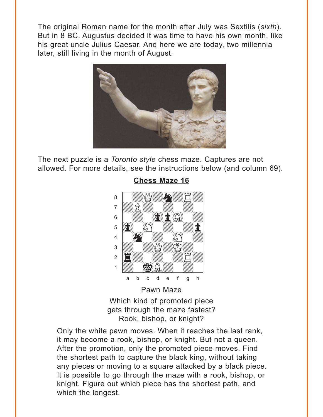<span id="page-3-0"></span>The original Roman name for the month after July was Sextilis (*sixth*). But in 8 BC, Augustus decided it was time to have his own month, like his great uncle Julius Caesar. And here we are today, two millennia later, still living in the month of August.



The next puzzle is a *Toronto style* chess maze. Captures are not allowed. For more details, see the instructions below (and column 69).



**[Chess Maze 16](#page-6-0)**

Which kind of promoted piece gets through the maze fastest? Rook, bishop, or knight?

Only the white pawn moves. When it reaches the last rank, it may become a rook, bishop, or knight. But not a queen. After the promotion, only the promoted piece moves. Find the shortest path to capture the black king, without taking any pieces or moving to a square attacked by a black piece. It is possible to go through the maze with a rook, bishop, or knight. Figure out which piece has the shortest path, and which the longest.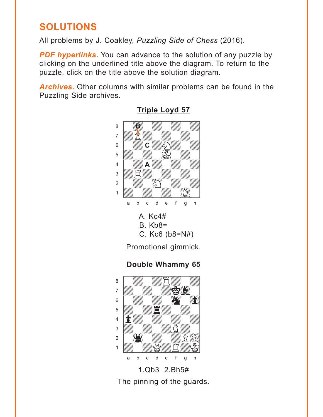# <span id="page-4-0"></span>**SOLUTIONS**

All problems by J. Coakley, *Puzzling Side of Chess* (2016).

**PDF hyperlinks.** You can advance to the solution of any puzzle by clicking on the underlined title above the diagram. To return to the puzzle, click on the title above the solution diagram.

*Archives***.** Other columns with similar problems can be found in the Puzzling Side archives.



**[Triple Loyd 57](#page-0-0)**

Promotional gimmick.

### **[Double Whammy 65](#page-1-0)**



1.Qb3 2.Bh5# The pinning of the guards.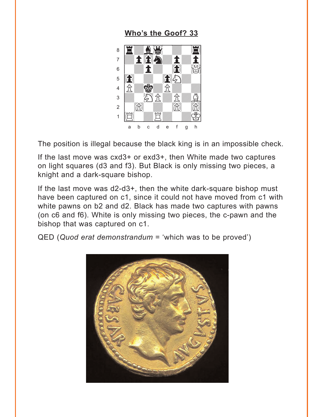### Who's the Goof? 33

<span id="page-5-0"></span>

The position is illegal because the black king is in an impossible check.

If the last move was cxd3+ or exd3+, then White made two captures on light squares (d3 and f3). But Black is only missing two pieces, a knight and a dark-square bishop.

If the last move was d2-d3+, then the white dark-square bishop must have been captured on c1, since it could not have moved from c1 with white pawns on b2 and d2. Black has made two captures with pawns (on c6 and f6). White is only missing two pieces, the c-pawn and the bishop that was captured on c1.

 $QED$  (Quod erat demonstrandum = 'which was to be proved')